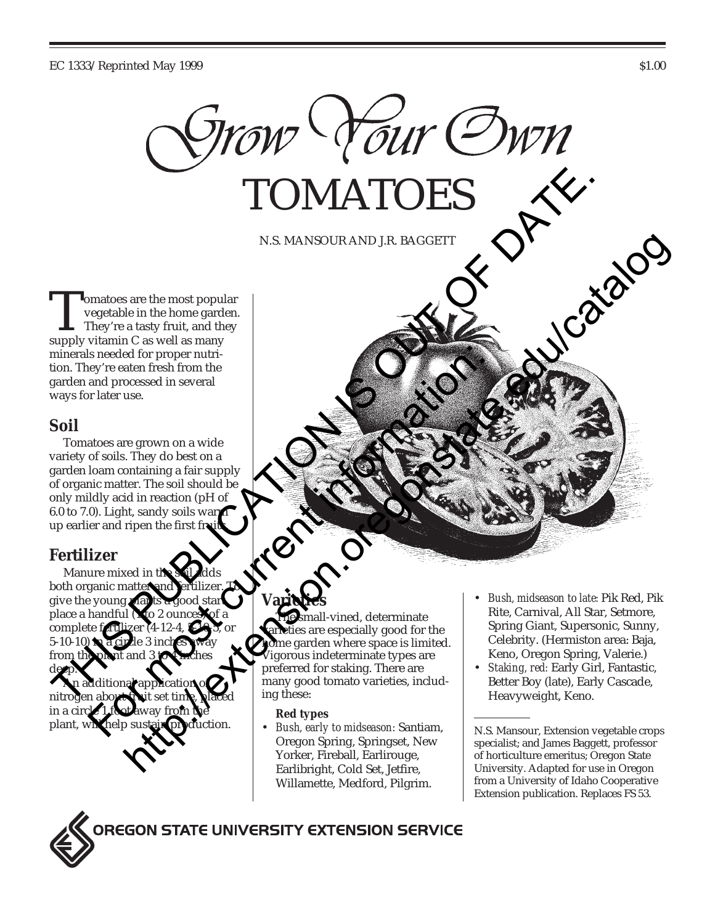

N.S. MANSOUR AND J.R. BAGGETT

Tomatoes are the most popular<br>vegetable in the home garden<br>They're a tasty fruit, and they<br>supply vitamin C as well as many vegetable in the home garden. They're a tasty fruit, and they minerals needed for proper nutrition. They're eaten fresh from the garden and processed in several ways for later use.

## **Soil**

Tomatoes are grown on a wide variety of soils. They do best on a garden loam containing a fair supply of organic matter. The soil should be only mildly acid in reaction (pH of  $6.0$  to  $7.0$ ). Light, sandy soils war up earlier and ripen the first fr

## **Fertilizer**

Manure mixed in th both organic matter give the young plan place a handful  $\binom{1}{10}$  ounces complete fortili  $5-10-10$ from the plant and 3 to 4 inches deep. An additional application of nitrogen about fruit set time, placed in a circ plant, will help sustain production. TOMATOES<br>
NA MANSOUR AND I.R. BAGGETT<br>
The consideration with the most popular<br>
The variable in the home garden.<br>
The variable in the home garden.<br>
The variable in the bonne garden.<br>
The variable of top popular and proper  $\frac{1}{\sqrt{2}}$  current fresh from the matter use.<br>
The discrete information of a state of the solution of a current information:<br>
The discrete information:  $\frac{1}{\sqrt{2}}$  contains a fair supply<br>
the matter. The soil should be No. MANSOUR AND JR. BAGGETT<br>
Since the most popular<br>
at a tasky finit and they be seed to receive the state of the state of the state of the state of the state of the state of the state of the state of the state of the st

# **Varieties**

nall-vined, determinate ies are especially good for the me garden where space is limited. igorous indeterminate types are preferred for staking. There are many good tomato varieties, including these:

#### **Red types**

- *Bush, early to midseason:* Santiam, Oregon Spring, Springset, New Yorker, Fireball, Earlirouge, Earlibright, Cold Set, Jetfire, Willamette, Medford, Pilgrim.
- *Bush, midseason to late:* Pik Red, Pik Rite, Carnival, All Star, Setmore, Spring Giant, Supersonic, Sunny, Celebrity. (Hermiston area: Baja, Keno, Oregon Spring, Valerie.)
- *Staking, red:* Early Girl, Fantastic, Better Boy (late), Early Cascade, Heavyweight, Keno.

N.S. Mansour, Extension vegetable crops specialist; and James Baggett, professor of horticulture emeritus; Oregon State University. Adapted for use in Oregon from a University of Idaho Cooperative Extension publication. Replaces FS 53.



**OREGON STATE UNIVERSITY EXTENSION SERVICE**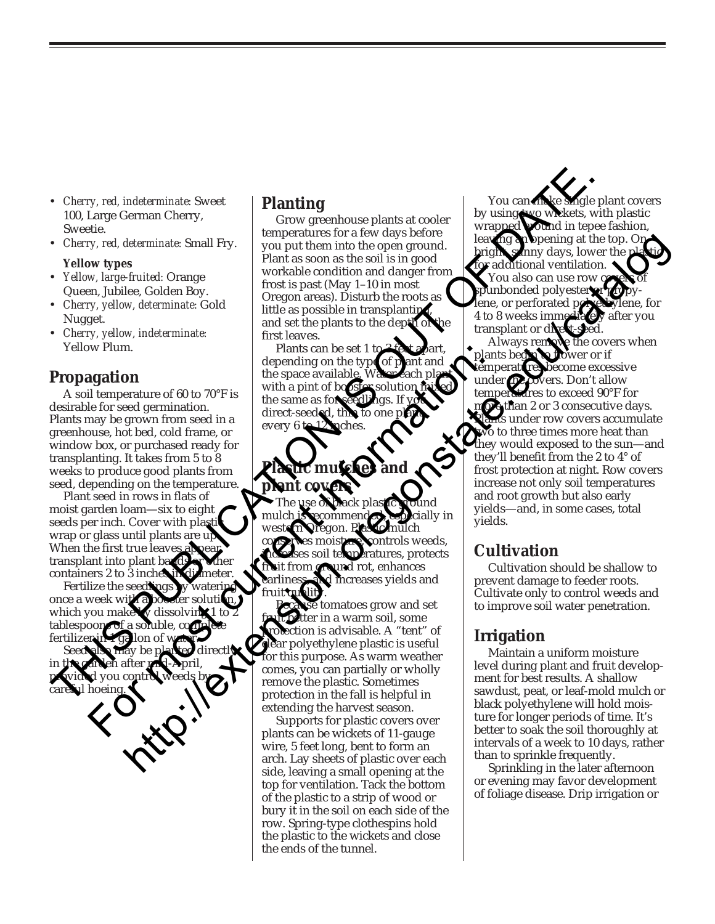- *Cherry, red, indeterminate:* Sweet 100, Large German Cherry, Sweetie.
- *Cherry, red, determinate:* Small Fry.

#### **Yellow types**

- *Yellow, large-fruited:* Orange Queen, Jubilee, Golden Boy.
- *Cherry, yellow, determinate:* Gold Nugget.
- *Cherry, yellow, indeterminate:* Yellow Plum.

### **Propagation**

A soil temperature of 60 to 70°F is desirable for seed germination. Plants may be grown from seed in a greenhouse, hot bed, cold frame, or window box, or purchased ready for transplanting. It takes from 5 to 8 weeks to produce good plants from seed, depending on the temperature.

Plant seed in rows in flats of moist garden loam—six to eight seeds per inch. Cover with plast wrap or glass until plants are up. When the first true leaves transplant into plant bands containers 2 to 3 inches

Fertilize the seedly once a week with which you make tablespoons of a soluble fertilizer

Seed also may be planted directly in the garden after mid-April, provided you control weeds by careful hoeing<u>.</u>

### **Planting**

Grow greenhouse plants at cooler temperatures for a few days before you put them into the open ground. Plant as soon as the soil is in good workable condition and danger from frost is past (May 1–10 in most Oregon areas). Disturb the roots as little as possible in transplanting and set the plants to the depth of first leaves.

Plants can be set 1 to depending on the type of  $p$ the space available. Water each plant with a pint of booster solution the same as for direct-seeded, thin every 6 to  $12$  pches.

# **Plastic mulches and plant covers**

The use of black plastic ground cially in nulch controls weeds, soil temperatures, protects and rot, enhances increases yields and fruit quality.

tomatoes grow and set er in a warm soil, some ction is advisable. A "tent" of ar polyethylene plastic is useful for this purpose. As warm weather comes, you can partially or wholly remove the plastic. Sometimes protection in the fall is helpful in extending the harvest season. For most current into plant scheen and the speed with a pin to the speed of the speed of the speed of the speed of the speed of the speed of the speed of the speed of the speed of the speed of the speed of the speed of th

Supports for plastic covers over plants can be wickets of 11-gauge wire, 5 feet long, bent to form an arch. Lay sheets of plastic over each side, leaving a small opening at the top for ventilation. Tack the bottom of the plastic to a strip of wood or bury it in the soil on each side of the row. Spring-type clothespins hold the plastic to the wickets and close the ends of the tunnel.

You can make single plant covers<br>by using two wickets, with plastic by using two wickets, with plastic wrapped **wound** in tepee fashion, bening at the top. On nny days, lower the p for additional ventilation. You also can use row punbonded polyester lene, or perforated polyethylene, for 4 to 8 weeks immediately after you transplant or direct-

Always remove the covers when<br>ants been to flower or if plants beg**in**<br>temperature: temperatures become excessive<br>under *de c*overs. Don't allow vers. Don't allow temperatures to exceed 90°F for bre than 2 or 3 consecutive days. s under row covers accumulate to to three times more heat than they would exposed to the sun—and they'll benefit from the 2 to 4° of frost protection at night. Row covers increase not only soil temperatures and root growth but also early yields—and, in some cases, total yields. Cherry, red, indeterminate: Species of the same as for the same as the same of the same as the same of the same of the same of the same of the same of the same of the same of the same of the same of the same of the same o determinate. Small Fry.<br>
Form a some action of the control between the control of the control of the control of the control of the control of the control of the control of the control of the control of the particle of the

## **Cultivation**

Cultivation should be shallow to prevent damage to feeder roots. Cultivate only to control weeds and to improve soil water penetration.

### **Irrigation**

Maintain a uniform moisture level during plant and fruit development for best results. A shallow sawdust, peat, or leaf-mold mulch or black polyethylene will hold moisture for longer periods of time. It's better to soak the soil thoroughly at intervals of a week to 10 days, rather than to sprinkle frequently.

Sprinkling in the later afternoon or evening may favor development of foliage disease. Drip irrigation or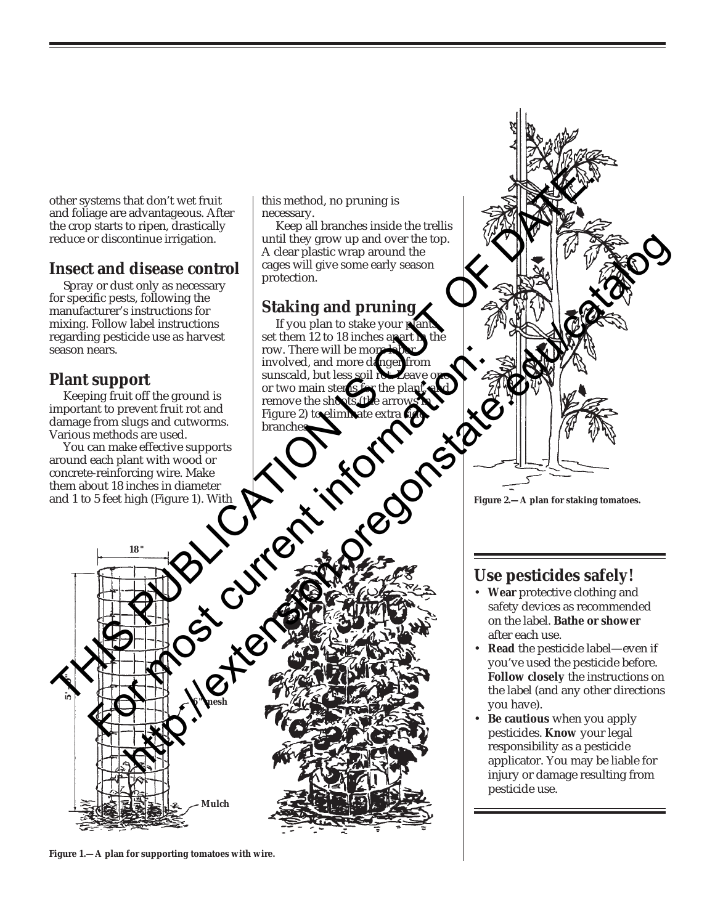other systems that don't wet fruit and foliage are advantageous. After the crop starts to ripen, drastically reduce or discontinue irrigation.

## **Insect and disease control**

Spray or dust only as necessary for specific pests, following the manufacturer's instructions for mixing. Follow label instructions regarding pesticide use as harvest season nears.

## **Plant support**

**5 ' - 0 "**

Keeping fruit off the ground is important to prevent fruit rot and damage from slugs and cutworms. Various methods are used.

You can make effective supports around each plant with wood or concrete-reinforcing wire. Make them about 18 inches in diameter and 1 to 5 feet high (Figure 1). With

**18 "**

this method, no pruning is necessary.

Keep all branches inside the trellis until they grow up and over the top. A clear plastic wrap around the cages will give some early season protection.

## **Staking and pruning**

If you plan to stake your plants, set them 12 to 18 inches apart **h** the row. There will be more labor involved, and more danger from sunscald, but less soil rot. Leave one or two main stems for the plant, and remove the shoots (the arrows in Figure 2) to elimitate extra **fi**de branches For most find the ground is<br>
from Support<br>
from stugs and curver find to the plane of the plane of the plane of the plane of the plane of<br>
Forms due of two main stereo in the plane of the plane of the plane<br>
in methods are

externa that is included the most limit of the most limit of the most limit of the most limit of the most limit of the most limit of the most limit of the most limit of the most limit of the most limit of the most limit of methion territorium scribes control and over the state control and the state of the control and property scribes in a second of the control and property of the control and property of the control and property of the contro

**Figure 2.—A plan for staking tomatoes.**

## **Use pesticides safely!**

- **Wear** protective clothing and safety devices as recommended on the label. **Bathe or shower** after each use.
- **Read** the pesticide label—even if you've used the pesticide before. **Follow closely** the instructions on the label (and any other directions you have).
- **Be cautious** when you apply pesticides. **Know** your legal responsibility as a pesticide applicator. You may be liable for injury or damage resulting from pesticide use.



**Mulch**